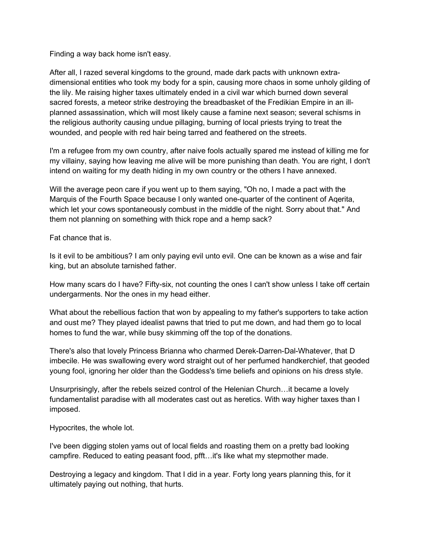Finding a way back home isn't easy.

After all, I razed several kingdoms to the ground, made dark pacts with unknown extradimensional entities who took my body for a spin, causing more chaos in some unholy gilding of the lily. Me raising higher taxes ultimately ended in a civil war which burned down several sacred forests, a meteor strike destroying the breadbasket of the Fredikian Empire in an illplanned assassination, which will most likely cause a famine next season; several schisms in the religious authority causing undue pillaging, burning of local priests trying to treat the wounded, and people with red hair being tarred and feathered on the streets.

I'm a refugee from my own country, after naive fools actually spared me instead of killing me for my villainy, saying how leaving me alive will be more punishing than death. You are right, I don't intend on waiting for my death hiding in my own country or the others I have annexed.

Will the average peon care if you went up to them saying, "Oh no, I made a pact with the Marquis of the Fourth Space because I only wanted one-quarter of the continent of Aqerita, which let your cows spontaneously combust in the middle of the night. Sorry about that." And them not planning on something with thick rope and a hemp sack?

Fat chance that is.

Is it evil to be ambitious? I am only paying evil unto evil. One can be known as a wise and fair king, but an absolute tarnished father.

How many scars do I have? Fifty-six, not counting the ones I can't show unless I take off certain undergarments. Nor the ones in my head either.

What about the rebellious faction that won by appealing to my father's supporters to take action and oust me? They played idealist pawns that tried to put me down, and had them go to local homes to fund the war, while busy skimming off the top of the donations.

There's also that lovely Princess Brianna who charmed Derek-Darren-Dal-Whatever, that D imbecile. He was swallowing every word straight out of her perfumed handkerchief, that geoded young fool, ignoring her older than the Goddess's time beliefs and opinions on his dress style.

Unsurprisingly, after the rebels seized control of the Helenian Church…it became a lovely fundamentalist paradise with all moderates cast out as heretics. With way higher taxes than I imposed.

Hypocrites, the whole lot.

I've been digging stolen yams out of local fields and roasting them on a pretty bad looking campfire. Reduced to eating peasant food, pfft…it's like what my stepmother made.

Destroying a legacy and kingdom. That I did in a year. Forty long years planning this, for it ultimately paying out nothing, that hurts.